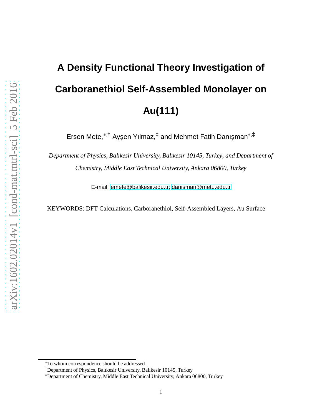# **A Density Functional Theory Investigation of Carboranethiol Self-Assembled Monolayer on Au(111)**

Ersen Mete,<sup>\*,†</sup> Ayşen Yılmaz,<sup>‡</sup> and Mehmet Fatih Danışman<sup>∗,‡</sup>

*Department of Physics, Balıkesir University, Balıkesir 10145, Turkey, and Department of Chemistry, Middle East Technical University, Ankara 06800, Turkey*

E-mail: [emete@balikesir.edu.tr;](emete@balikesir.edu.tr)<danisman@metu.edu.tr>

KEYWORDS: DFT Calculations, Carboranethiol, Self-Assembled Layers, Au Surface

<sup>∗</sup>To whom correspondence should be addressed

<sup>†</sup>Department of Physics, Balıkesir University, Balıkesir 10145, Turkey

<sup>‡</sup>Department of Chemistry, Middle East Technical University, Ankara 06800, Turkey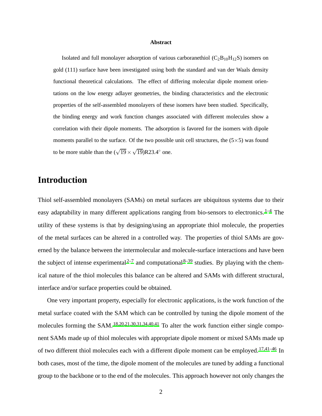#### **Abstract**

Isolated and full monolayer adsorption of various carboranethiol  $(C_2B_{10}H_{12}S)$  isomers on gold (111) surface have been investigated using both the standard and van der Waals density functional theoretical calculations. The effect of differing molecular dipole moment orientations on the low energy adlayer geometries, the binding characteristics and the electronic properties of the self-assembled monolayers of these isomers have been studied. Specifically, the binding energy and work function changes associated with different molecules show a correlation with their dipole moments. The adsorption is favored for the isomers with dipole moments parallel to the surface. Of the two possible unit cell structures, the  $(5\times5)$  was found to be more stable than the  $(\sqrt{19} \times \sqrt{19})R23.4^\circ$  one.

#### **Introduction**

Thiol self-assembled monolayers (SAMs) on metal surfaces are ubiquitous systems due to their easy adaptability in many different applications ranging from bio-sensors to electronics.<sup>[1](#page-13-0)-4</sup> The utility of these systems is that by designing/using an appropriate thiol molecule, the properties of the metal surfaces can be altered in a controlled way. The properties of thiol SAMs are governed by the balance between the intermolecular and molecule-surface interactions and have been the subject of intense experimental<sup>[2](#page-13-1)-7</sup> and computational<sup>[8](#page-14-2)-39</sup> studies. By playing with the chemical nature of the thiol molecules this balance can be altered and SAMs with different structural, interface and/or surface properties could be obtained.

One very important property, especially for electronic applications, is the work function of the metal surface coated with the SAM which can be controlled by tuning the dipole moment of the molecules forming the SAM.<sup>[18](#page-15-0)[,20](#page-15-1)[,21](#page-15-2)[,30](#page-16-0)[,31](#page-17-1)[,34](#page-17-2)[,40](#page-18-0)[,41](#page-18-1)</sup> To alter the work function either single component SAMs made up of thiol molecules with appropriate dipole moment or mixed SAMs made up of two different thiol molecules each with a different dipole moment can be employed.<sup>[17](#page-15-3)[,41](#page-18-1)[–46](#page-18-2)</sup> In both cases, most of the time, the dipole moment of the molecules are tuned by adding a functional group to the backbone or to the end of the molecules. This approach however not only changes the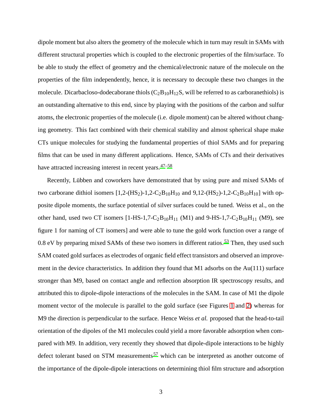dipole moment but also alters the geometry of the molecule which in turn may result in SAMs with different structural properties which is coupled to the electronic properties of the film/surface. To be able to study the effect of geometry and the chemical/electronic nature of the molecule on the properties of the film independently, hence, it is necessary to decouple these two changes in the molecule. Dicarbacloso-dodecaborane thiols  $(C_2B_{10}H_{12}S)$ , will be referred to as carboranethiols) is an outstanding alternative to this end, since by playing with the positions of the carbon and sulfur atoms, the electronic properties of the molecule (i.e. dipole moment) can be altered without changing geometry. This fact combined with their chemical stability and almost spherical shape make CTs unique molecules for studying the fundamental properties of thiol SAMs and for preparing films that can be used in many different applications. Hence, SAMs of CTs and their derivatives have attracted increasing interest in recent years.<sup>[47](#page-18-3)[–58](#page-20-0)</sup>

Recently, Lübben and coworkers have demonstrated that by using pure and mixed SAMs of two carborane dithiol isomers  $[1,2-(HS_2)-1,2-C_2B_{10}H_{10}$  and  $9,12-(HS_2)-1,2-C_2B_{10}H_{10}]$  with opposite dipole moments, the surface potential of silver surfaces could be tuned. Weiss et al., on the other hand, used two CT isomers  $[1-HS-1,7-C_2B_{10}H_{11}$  (M1) and 9-HS-1,7-C<sub>2</sub>B<sub>10</sub>H<sub>11</sub> (M9), see figure 1 for naming of CT isomers] and were able to tune the gold work function over a range of 0.8 eV by preparing mixed SAMs of these two isomers in different ratios.<sup>[53](#page-19-0)</sup> Then, they used such SAM coated gold surfaces as electrodes of organic field effect transistors and observed an improvement in the device characteristics. In addition they found that M1 adsorbs on the Au(111) surface stronger than M9, based on contact angle and reflection absorption IR spectroscopy results, and attributed this to dipole-dipole interactions of the molecules in the SAM. In case of M1 the dipole moment vector of the molecule is parallel to the gold surface (see Figures [1](#page-3-0) and [2\)](#page-6-0) whereas for M9 the direction is perpendicular to the surface. Hence Weiss *et al.* proposed that the head-to-tail orientation of the dipoles of the M1 molecules could yield a more favorable adsorption when compared with M9. In addition, very recently they showed that dipole-dipole interactions to be highly defect tolerant based on STM measurements<sup>[57](#page-20-1)</sup> which can be interpreted as another outcome of the importance of the dipole-dipole interactions on determining thiol film structure and adsorption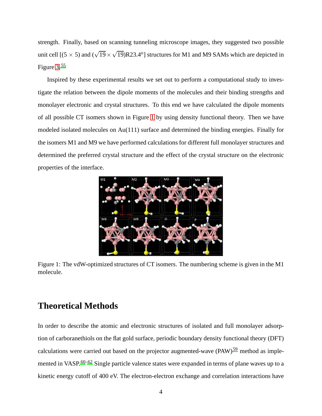strength. Finally, based on scanning tunneling microscope images, they suggested two possible unit cell  $[(5 \times 5)$  and  $(\sqrt{19} \times \sqrt{19})R23.4^o]$  structures for M1 and M9 SAMs which are depicted in Figure [3.](#page-8-0)[55](#page-19-1)

Inspired by these experimental results we set out to perform a computational study to investigate the relation between the dipole moments of the molecules and their binding strengths and monolayer electronic and crystal structures. To this end we have calculated the dipole moments of all possible CT isomers shown in Figure [1](#page-3-0) by using density functional theory. Then we have modeled isolated molecules on Au(111) surface and determined the binding energies. Finally for the isomers M1 and M9 we have performed calculations for different full monolayer structures and determined the preferred crystal structure and the effect of the crystal structure on the electronic properties of the interface.

<span id="page-3-0"></span>

Figure 1: The vdW-optimized structures of CT isomers. The numbering scheme is given in the M1 molecule.

## **Theoretical Methods**

In order to describe the atomic and electronic structures of isolated and full monolayer adsorption of carboranethiols on the flat gold surface, periodic boundary density functional theory (DFT) calculations were carried out based on the projector augmented-wave  $(PAW)^{59}$  $(PAW)^{59}$  $(PAW)^{59}$  method as imple-mented in VASP.<sup>[60](#page-20-3)[–62](#page-20-4)</sup> Single particle valence states were expanded in terms of plane waves up to a kinetic energy cutoff of 400 eV. The electron-electron exchange and correlation interactions have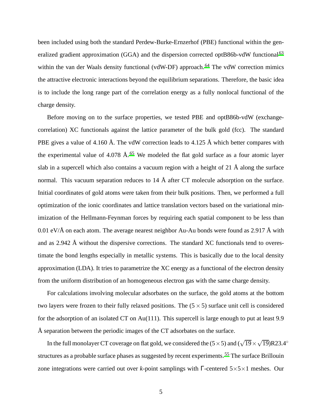been included using both the standard Perdew-Burke-Ernzerhof (PBE) functional within the gen-eralized gradient approximation (GGA) and the dispersion corrected optB86b-vdW functional<sup>[63](#page-20-5)</sup> within the van der Waals density functional (vdW-DF) approach.<sup>[64](#page-20-6)</sup> The vdW correction mimics the attractive electronic interactions beyond the equilibrium separations. Therefore, the basic idea is to include the long range part of the correlation energy as a fully nonlocal functional of the charge density.

Before moving on to the surface properties, we tested PBE and optB86b-vdW (exchangecorrelation) XC functionals against the lattice parameter of the bulk gold (fcc). The standard PBE gives a value of 4.160 Å. The vdW correction leads to 4.125 Å which better compares with the experimental value of 4.078  $\AA$ .<sup>[65](#page-20-7)</sup> We modeled the flat gold surface as a four atomic layer slab in a supercell which also contains a vacuum region with a height of 21 Å along the surface normal. This vacuum separation reduces to  $14 \text{ Å}$  after CT molecule adsorption on the surface. Initial coordinates of gold atoms were taken from their bulk positions. Then, we performed a full optimization of the ionic coordinates and lattice translation vectors based on the variational minimization of the Hellmann-Feynman forces by requiring each spatial component to be less than 0.01 eV/ $\AA$  on each atom. The average nearest neighbor Au-Au bonds were found as 2.917  $\AA$  with and as 2.942 Å without the dispersive corrections. The standard XC functionals tend to overestimate the bond lengths especially in metallic systems. This is basically due to the local density approximation (LDA). It tries to parametrize the XC energy as a functional of the electron density from the uniform distribution of an homogeneous electron gas with the same charge density.

For calculations involving molecular adsorbates on the surface, the gold atoms at the bottom two layers were frozen to their fully relaxed positions. The  $(5 \times 5)$  surface unit cell is considered for the adsorption of an isolated CT on Au(111). This supercell is large enough to put at least 9.9 Å separation between the periodic images of the CT adsorbates on the surface.

In the full monolayer CT coverage on flat gold, we considered the  $(5 \times 5)$  and  $(\sqrt{19} \times \sqrt{19})$ R23.4<sup>°</sup> structures as a probable surface phases as suggested by recent experiments.<sup>[55](#page-19-1)</sup> The surface Brillouin zone integrations were carried out over *k*-point samplings with Γ-centered 5×5×1 meshes. Our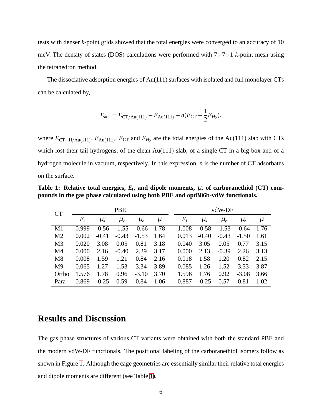tests with denser *k*-point grids showed that the total energies were converged to an accuracy of 10 meV. The density of states (DOS) calculations were performed with  $7 \times 7 \times 1$  *k*-point mesh using the tetrahedron method.

The dissociative adsorption energies of Au(111) surfaces with isolated and full monolayer CTs can be calculated by,

$$
E_{\text{ads}} = E_{\text{CT/Au}(111)} - E_{\text{Au}(111)} - n(E_{\text{CT}} - \frac{1}{2}E_{H_2}),
$$

where  $E_{CT-H/Au(111)}$ ,  $E_{Au(111)}$ ,  $E_{CT}$  and  $E_{H_2}$  are the total energies of the Au(111) slab with CTs which lost their tail hydrogens, of the clean Au(111) slab, of a single CT in a big box and of a hydrogen molecule in vacuum, respectively. In this expression, *n* is the number of CT adsorbates on the surface.

<span id="page-5-0"></span>Table 1: Relative total energies,  $E_t$ , and dipole moments,  $\mu$ , of carboranethiol (CT) com**pounds in the gas phase calculated using both PBE and optB86b-vdW functionals.**

| CT             | <b>PBE</b>  |               |               |         |      |  | vdW-DF      |           |           |         |       |  |  |
|----------------|-------------|---------------|---------------|---------|------|--|-------------|-----------|-----------|---------|-------|--|--|
|                | $E_{\rm t}$ | $\mu_{\rm x}$ | $\mu_{\rm v}$ | $\mu_z$ | μ    |  | $E_{\rm t}$ | $\mu_{x}$ | $\mu_{y}$ | $\mu_z$ | $\mu$ |  |  |
| M1             | 0.999       | $-0.56$       | $-1.55$       | $-0.66$ | 1.78 |  | 1.008       | $-0.58$   | $-1.53$   | $-0.64$ | 1.76  |  |  |
| M <sub>2</sub> | 0.002       | $-0.41$       | $-0.43$       | $-1.53$ | 1.64 |  | 0.013       | $-0.40$   | $-0.43$   | $-1.50$ | 1.61  |  |  |
| M <sub>3</sub> | 0.020       | 3.08          | 0.05          | 0.81    | 3.18 |  | 0.040       | 3.05      | 0.05      | 0.77    | 3.15  |  |  |
| M <sub>4</sub> | 0.000       | 2.16          | $-0.40$       | 2.29    | 3.17 |  | 0.000       | 2.13      | $-0.39$   | 2.26    | 3.13  |  |  |
| M8             | 0.008       | 1.59          | 1.21          | 0.84    | 2.16 |  | 0.018       | 1.58      | 1.20      | 0.82    | 2.15  |  |  |
| M <sup>9</sup> | 0.065       | 1.27          | 1.53          | 3.34    | 3.89 |  | 0.085       | 1.26      | 1.52      | 3.33    | 3.87  |  |  |
| Ortho          | 1.576       | 1.78          | 0.96          | $-3.10$ | 3.70 |  | 1.596       | 1.76      | 0.92      | $-3.08$ | 3.66  |  |  |
| Para           | 0.869       | $-0.25$       | 0.59          | 0.84    | 1.06 |  | 0.887       | $-0.25$   | 0.57      | 0.81    | 1.02  |  |  |

#### **Results and Discussion**

The gas phase structures of various CT variants were obtained with both the standard PBE and the modern vdW-DF functionals. The positional labeling of the carboranethiol isomers follow as shown in Figure [1.](#page-3-0) Although the cage geometries are essentially similar their relative total energies and dipole moments are different (see Table [1\)](#page-5-0).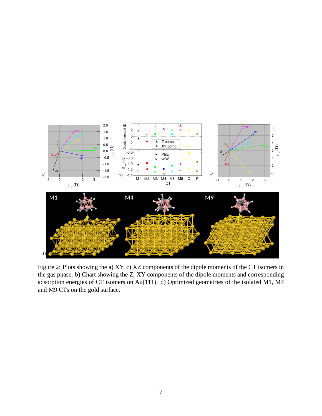<span id="page-6-0"></span>

Figure 2: Plots showing the a) XY, c) XZ components of the dipole moments of the CT isomers in the gas phase. b) Chart showing the Z, XY components of the dipole moments and corresponding adsorption energies of CT isomers on Au(111). d) Optimized geometries of the isolated M1, M4 and M9 CTs on the gold surface.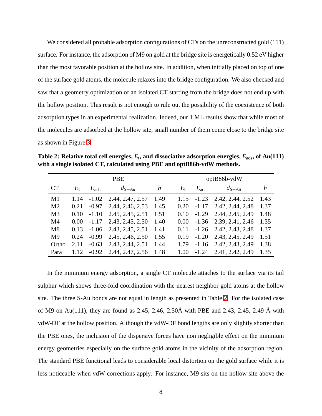We considered all probable adsorption configurations of CTs on the unreconstructed gold (111) surface. For instance, the adsorption of M9 on gold at the bridge site is energetically 0.52 eV higher than the most favorable position at the hollow site. In addition, when initially placed on top of one of the surface gold atoms, the molecule relaxes into the bridge configuration. We also checked and saw that a geometry optimization of an isolated CT starting from the bridge does not end up with the hollow position. This result is not enough to rule out the possibility of the coexistence of both adsorption types in an experimental realization. Indeed, our 1 ML results show that while most of the molecules are adsorbed at the hollow site, small number of them come close to the bridge site as shown in Figure [3.](#page-8-0)

<span id="page-7-0"></span>**Table 2: Relative total cell energies,** *E*<sup>t</sup> **, and dissociative adsorption energies,** *E*ads**, of Au(111) with a single isolated CT, calculated using PBE and optB86b-vdW methods.**

|                |             |               | <b>PBE</b>                    | optB86b-vdW |  |      |               |                                |      |
|----------------|-------------|---------------|-------------------------------|-------------|--|------|---------------|--------------------------------|------|
| <b>CT</b>      | $E_{\rm t}$ | $E_{\rm ads}$ | $d_{S-Au}$                    | h           |  |      | $E_{\rm ads}$ | $d_{S-Au}$                     |      |
| M1             | 1.14        |               | $-1.02$ 2.44, 2.47, 2.57      | 1.49        |  |      |               | $1.15 -1.23 -2.42, 2.44, 2.52$ | 1.43 |
| M <sub>2</sub> | 0.21        |               | $-0.97$ 2.44, 2.46, 2.53      | 1.45        |  | 0.20 |               | $-1.17$ 2.42, 2.44, 2.48       | 1.37 |
| M <sub>3</sub> | 0.10        | $-1.10$       | 2.45, 2.45, 2.51              | 1.51        |  | 0.10 |               | $-1.29$ 2.44, 2.45, 2.49       | 1.48 |
| M <sub>4</sub> | 0.00        |               | $-1.17$ 2.43, 2.45, 2.50      | 1.40        |  | 0.00 |               | $-1.36$ 2.39, 2.41, 2.46       | 1.35 |
| M8             | 0.13        |               | $-1.06$ 2.43, 2.45, 2.51      | 1.41        |  | 0.11 |               | $-1.26$ 2.42, 2.43, 2.48       | 1.37 |
| M <sup>9</sup> | 0.24        |               | $-0.99$ 2.45, 2.46, 2.50      | 1.55        |  | 0.19 |               | $-1.20$ 2.43, 2.45, 2.49       | 1.51 |
| Ortho          | 2.11        |               | $-0.63$ 2.43, 2.44, 2.51      | 1.44        |  | 1.79 |               | $-1.16$ 2.42, 2.43, 2.49       | 1.38 |
| Para           | 1.12        |               | $-0.92$ 2.44, 2.47, 2.56 1.48 |             |  | 1.00 |               | $-1.24$ 2.41, 2.42, 2.49       | 1.35 |

In the minimum energy adsorption, a single CT molecule attaches to the surface via its tail sulphur which shows three-fold coordination with the nearest neighbor gold atoms at the hollow site. The three S-Au bonds are not equal in length as presented in Table [2.](#page-7-0) For the isolated case of M9 on Au(111), they are found as 2.45, 2.46, 2.50Å with PBE and 2.43, 2.45, 2.49 Å with vdW-DF at the hollow position. Although the vdW-DF bond lengths are only slightly shorter than the PBE ones, the inclusion of the dispersive forces have non negligible effect on the minimum energy geometries especially on the surface gold atoms in the vicinity of the adsorption region. The standard PBE functional leads to considerable local distortion on the gold surface while it is less noticeable when vdW corrections apply. For instance, M9 sits on the hollow site above the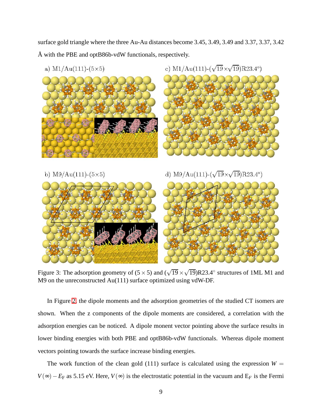surface gold triangle where the three Au-Au distances become 3.45, 3.49, 3.49 and 3.37, 3.37, 3.42 Å with the PBE and optB86b-vdW functionals, respectively.

<span id="page-8-0"></span>

Figure 3: The adsorption geometry of  $(5 \times 5)$  and  $(\sqrt{19} \times \sqrt{19})R23.4^\circ$  structures of 1ML M1 and M9 on the unreconstructed Au(111) surface optimized using vdW-DF.

In Figure [2,](#page-6-0) the dipole moments and the adsorption geometries of the studied CT isomers are shown. When the z components of the dipole moments are considered, a correlation with the adsorption energies can be noticed. A dipole monent vector pointing above the surface results in lower binding energies with both PBE and optB86b-vdW functionals. Whereas dipole moment vectors pointing towards the surface increase binding energies.

The work function of the clean gold (111) surface is calculated using the expression  $W =$ *V*(∞)−*E*<sub>F</sub> as 5.15 eV. Here, *V*(∞) is the electrostatic potential in the vacuum and E<sub>*F*</sub> is the Fermi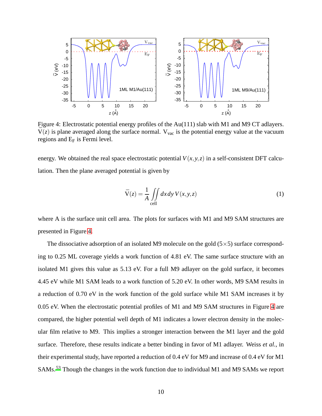<span id="page-9-0"></span>

Figure 4: Electrostatic potential energy profiles of the Au(111) slab with M1 and M9 CT adlayers.  $\bar{V}(z)$  is plane averaged along the surface normal. V<sub>vac</sub> is the potential energy value at the vacuum regions and  $E_F$  is Fermi level.

energy. We obtained the real space electrostatic potential  $V(x, y, z)$  in a self-consistent DFT calculation. Then the plane averaged potential is given by

$$
\bar{V}(z) = \frac{1}{A} \iint_{cell} dx dy V(x, y, z)
$$
\n(1)

where A is the surface unit cell area. The plots for surfaces with M1 and M9 SAM structures are presented in Figure [4.](#page-9-0)

The dissociative adsorption of an isolated M9 molecule on the gold  $(5 \times 5)$  surface corresponding to 0.25 ML coverage yields a work function of 4.81 eV. The same surface structure with an isolated M1 gives this value as 5.13 eV. For a full M9 adlayer on the gold surface, it becomes 4.45 eV while M1 SAM leads to a work function of 5.20 eV. In other words, M9 SAM results in a reduction of 0.70 eV in the work function of the gold surface while M1 SAM increases it by 0.05 eV. When the electrostatic potential profiles of M1 and M9 SAM structures in Figure [4](#page-9-0) are compared, the higher potential well depth of M1 indicates a lower electron density in the molecular film relative to M9. This implies a stronger interaction between the M1 layer and the gold surface. Therefore, these results indicate a better binding in favor of M1 adlayer. Weiss *et al.*, in their experimental study, have reported a reduction of 0.4 eV for M9 and increase of 0.4 eV for M1 SAMs.[53](#page-19-0) Though the changes in the work function due to individual M1 and M9 SAMs we report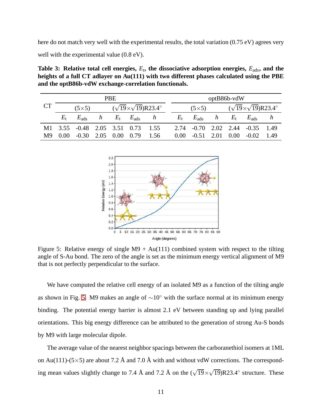<span id="page-10-1"></span>here do not match very well with the experimental results, the total variation (0.75 eV) agrees very well with the experimental value  $(0.8 \text{ eV})$ .

Table 3: Relative total cell energies,  $E_t$ , the dissociative adsorption energies,  $E_{\text{ads}}$ , and the **heights of a full CT adlayer on Au(111) with two different phases calculated using the PBE and the optB86b-vdW exchange-correlation functionals.**

<span id="page-10-0"></span>

|    | <b>PBE</b> |                                                       |  |  |  |                                | $optB86b-vdW$ |                            |                                             |             |                                             |  |  |
|----|------------|-------------------------------------------------------|--|--|--|--------------------------------|---------------|----------------------------|---------------------------------------------|-------------|---------------------------------------------|--|--|
| CT |            | $(\sqrt{19} \times \sqrt{19})$ R23.4°<br>$(5\times5)$ |  |  |  |                                | $(5\times5)$  |                            | $(\sqrt{19} \times \sqrt{19})R23.4^{\circ}$ |             |                                             |  |  |
|    | $E_{t}$    | $E_{\rm ads}$                                         |  |  |  | $h$ $E_t$ $E_{\text{ads}}$ $h$ |               | $E_t$ $E_{\text{ads}}$ $h$ |                                             | $E_{\rm t}$ | $E_{\rm ads}$ h                             |  |  |
|    |            | M1 3.55 -0.48 2.05 3.51 0.73 1.55                     |  |  |  |                                |               |                            |                                             |             | 2.74 -0.70 2.02 2.44 -0.35 1.49             |  |  |
| M9 |            | $0.00$ $-0.30$ $2.05$ $0.00$ $0.79$ $1.56$            |  |  |  |                                |               |                            |                                             |             | $0.00$ $-0.51$ $2.01$ $0.00$ $-0.02$ $1.49$ |  |  |



Figure 5: Relative energy of single  $M9 + Au(111)$  combined system with respect to the tilting angle of S-Au bond. The zero of the angle is set as the minimum energy vertical alignment of M9 that is not perfectly perpendicular to the surface.

We have computed the relative cell energy of an isolated M9 as a function of the tilting angle as shown in Fig. [5.](#page-10-0) M9 makes an angle of  $\sim 10^{\circ}$  with the surface normal at its minimum energy binding. The potential energy barrier is almost 2.1 eV between standing up and lying parallel orientations. This big energy difference can be attributed to the generation of strong Au-S bonds by M9 with large molecular dipole.

The average value of the nearest neighbor spacings between the carboranethiol isomers at 1ML on Au(111)-(5×5) are about 7.2 Å and 7.0 Å with and without vdW corrections. The corresponding mean values slightly change to 7.4 Å and 7.2 Å on the  $(\sqrt{19} \times \sqrt{19})R23.4^{\circ}$  structure. These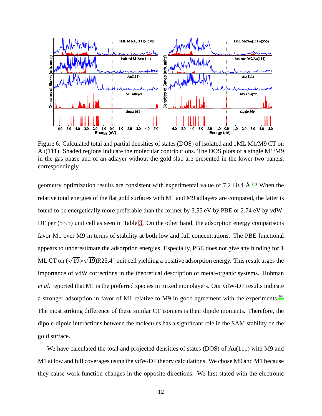<span id="page-11-0"></span>

Figure 6: Calculated total and partial densities of states (DOS) of isolated and 1ML M1/M9 CT on Au(111). Shaded regions indicate the molecular contributions. The DOS plots of a single M1/M9 in the gas phase and of an adlayer without the gold slab are presented in the lower two panels, correspondingly.

geometry optimization results are consistent with experimental value of  $7.2\pm0.4$  Å.<sup>[55](#page-19-1)</sup> When the relative total energies of the flat gold surfaces with M1 and M9 adlayers are compared, the latter is found to be energetically more preferable than the former by 3.55 eV by PBE or 2.74 eV by vdW-DF per  $(5\times5)$  unit cell as seen in Table [3.](#page-10-1) On the other hand, the adsorption energy comparisons favor M1 over M9 in terms of stability at both low and full concentrations. The PBE functional appears to underestimate the adsorption energies. Especially, PBE does not give any binding for 1 ML CT on  $(\sqrt{19} \times \sqrt{19})$ R23.4° unit cell yielding a positive adsorption energy. This result urges the importance of vdW corrections in the theoretical description of metal-organic systems. Hohman *et al.* reported that M1 is the preferred species in mixed monolayers. Our vdW-DF results indicate a stronger adsorption in favor of M1 relative to M9 in good agreement with the experiments.<sup>[55](#page-19-1)</sup> The most striking difference of these similar CT isomers is their dipole moments. Therefore, the dipole-dipole interactions between the molecules has a significant role in the SAM stability on the gold surface.

We have calculated the total and projected densities of states (DOS) of Au(111) with M9 and M1 at low and full coverages using the vdW-DF theory calculations. We chose M9 and M1 because they cause work function changes in the opposite directions. We first stated with the electronic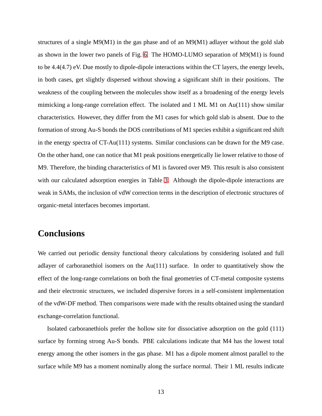structures of a single  $M9(M1)$  in the gas phase and of an  $M9(M1)$  adlayer without the gold slab as shown in the lower two panels of Fig. [6.](#page-11-0) The HOMO-LUMO separation of M9(M1) is found to be 4.4(4.7) eV. Due mostly to dipole-dipole interactions within the CT layers, the energy levels, in both cases, get slightly dispersed without showing a significant shift in their positions. The weakness of the coupling between the molecules show itself as a broadening of the energy levels mimicking a long-range correlation effect. The isolated and 1 ML M1 on Au(111) show similar characteristics. However, they differ from the M1 cases for which gold slab is absent. Due to the formation of strong Au-S bonds the DOS contributions of M1 species exhibit a significant red shift in the energy spectra of CT-Au(111) systems. Similar conclusions can be drawn for the M9 case. On the other hand, one can notice that M1 peak positions energetically lie lower relative to those of M9. Therefore, the binding characteristics of M1 is favored over M9. This result is also consistent with our calculated adsorption energies in Table [3.](#page-10-1) Although the dipole-dipole interactions are weak in SAMs, the inclusion of vdW correction terms in the description of electronic structures of organic-metal interfaces becomes important.

## **Conclusions**

We carried out periodic density functional theory calculations by considering isolated and full adlayer of carboranethiol isomers on the Au(111) surface. In order to quantitatively show the effect of the long-range correlations on both the final geometries of CT-metal composite systems and their electronic structures, we included dispersive forces in a self-consistent implementation of the vdW-DF method. Then comparisons were made with the results obtained using the standard exchange-correlation functional.

Isolated carboranethiols prefer the hollow site for dissociative adsorption on the gold (111) surface by forming strong Au-S bonds. PBE calculations indicate that M4 has the lowest total energy among the other isomers in the gas phase. M1 has a dipole moment almost parallel to the surface while M9 has a moment nominally along the surface normal. Their 1 ML results indicate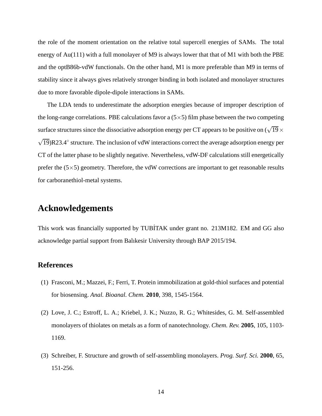the role of the moment orientation on the relative total supercell energies of SAMs. The total energy of Au(111) with a full monolayer of M9 is always lower that that of M1 with both the PBE and the optB86b-vdW functionals. On the other hand, M1 is more preferable than M9 in terms of stability since it always gives relatively stronger binding in both isolated and monolayer structures due to more favorable dipole-dipole interactions in SAMs.

The LDA tends to underestimate the adsorption energies because of improper description of the long-range correlations. PBE calculations favor a  $(5\times5)$  film phase between the two competing surface structures since the dissociative adsorption energy per CT appears to be positive on  $(\sqrt{19} \times$  $\sqrt{19}$ )R23.4° structure. The inclusion of vdW interactions correct the average adsorption energy per CT of the latter phase to be slightly negative. Nevertheless, vdW-DF calculations still energetically prefer the  $(5\times5)$  geometry. Therefore, the vdW corrections are important to get reasonable results for carboranethiol-metal systems.

#### **Acknowledgements**

This work was financially supported by TUBİTAK under grant no. 213M182. EM and GG also acknowledge partial support from Balıkesir University through BAP 2015/194.

#### **References**

- <span id="page-13-0"></span>(1) Frasconi, M.; Mazzei, F.; Ferri, T. Protein immobilization at gold-thiol surfaces and potential for biosensing. *Anal. Bioanal. Chem.* **2010**, 398, 1545-1564.
- <span id="page-13-1"></span>(2) Love, J. C.; Estroff, L. A.; Kriebel, J. K.; Nuzzo, R. G.; Whitesides, G. M. Self-assembled monolayers of thiolates on metals as a form of nanotechnology. *Chem. Rev.* **2005**, 105, 1103- 1169.
- (3) Schreiber, F. Structure and growth of self-assembling monolayers. *Prog. Surf. Sci.* **2000**, 65, 151-256.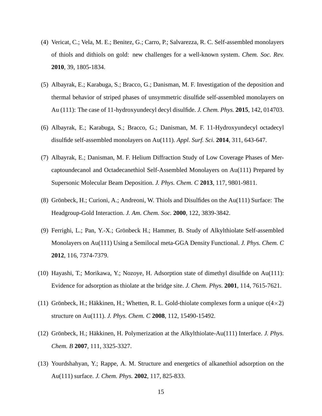- <span id="page-14-0"></span>(4) Vericat, C.; Vela, M. E.; Benitez, G.; Carro, P.; Salvarezza, R. C. Self-assembled monolayers of thiols and dithiols on gold: new challenges for a well-known system. *Chem. Soc. Rev.* **2010**, 39, 1805-1834.
- (5) Albayrak, E.; Karabuga, S.; Bracco, G.; Danisman, M. F. Investigation of the deposition and thermal behavior of striped phases of unsymmetric disulfide self-assembled monolayers on Au (111): The case of 11-hydroxyundecyl decyl disulfide. *J. Chem. Phys.* **2015**, 142, 014703.
- (6) Albayrak, E.; Karabuga, S.; Bracco, G.; Danisman, M. F. 11-Hydroxyundecyl octadecyl disulfide self-assembled monolayers on Au(111). *Appl. Surf. Sci.* **2014**, 311, 643-647.
- <span id="page-14-1"></span>(7) Albayrak, E.; Danisman, M. F. Helium Diffraction Study of Low Coverage Phases of Mercaptoundecanol and Octadecanethiol Self-Assembled Monolayers on Au(111) Prepared by Supersonic Molecular Beam Deposition. *J. Phys. Chem. C* **2013**, 117, 9801-9811.
- <span id="page-14-2"></span>(8) Grönbeck, H.; Curioni, A.; Andreoni, W. Thiols and Disulfides on the Au(111) Surface: The Headgroup-Gold Interaction. *J. Am. Chem. Soc.* **2000**, 122, 3839-3842.
- (9) Ferrighi, L.; Pan, Y.-X.; Grönbeck H.; Hammer, B. Study of Alkylthiolate Self-assembled Monolayers on Au(111) Using a Semilocal meta-GGA Density Functional. *J. Phys. Chem. C* **2012**, 116, 7374-7379.
- (10) Hayashi, T.; Morikawa, Y.; Nozoye, H. Adsorption state of dimethyl disulfide on Au(111): Evidence for adsorption as thiolate at the bridge site. *J. Chem. Phys.* **2001**, 114, 7615-7621.
- (11) Grönbeck, H.; Häkkinen, H.; Whetten, R. L. Gold-thiolate complexes form a unique  $c(4\times2)$ structure on Au(111). *J. Phys. Chem. C* **2008**, 112, 15490-15492.
- (12) Grönbeck, H.; Häkkinen, H. Polymerization at the Alkylthiolate-Au(111) Interface. *J. Phys. Chem. B* **2007**, 111, 3325-3327.
- (13) Yourdshahyan, Y.; Rappe, A. M. Structure and energetics of alkanethiol adsorption on the Au(111) surface. *J. Chem. Phys.* **2002**, 117, 825-833.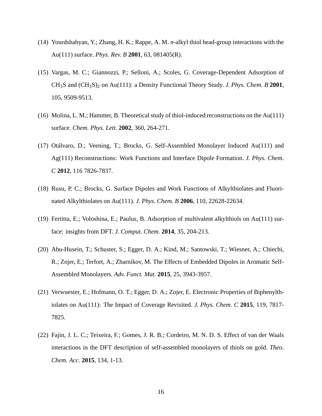- (14) Yourdshahyan, Y.; Zhang, H. K.; Rappe, A. M. *n*-alkyl thiol head-group interactions with the Au(111) surface. *Phys. Rev. B* **2001**, 63, 081405(R).
- (15) Vargas, M. C.; Giannozzi, P.; Selloni, A.; Scoles, G. Coverage-Dependent Adsorption of CH3S and (CH3S)<sup>2</sup> on Au(111): a Density Functional Theory Study. *J. Phys. Chem. B* **2001**, 105, 9509-9513.
- (16) Molina, L. M.; Hammer, B. Theoretical study of thiol-induced reconstructions on the Au(111) surface. *Chem. Phys. Lett.* **2002**, 360, 264-271.
- <span id="page-15-3"></span>(17) Otálvaro, D.; Veening, T.; Brocks, G. Self-Assembled Monolayer Induced Au(111) and Ag(111) Reconstructions: Work Functions and Interface Dipole Formation. *J. Phys. Chem. C* **2012**, 116 7826-7837.
- <span id="page-15-0"></span>(18) Rusu, P. C.; Brocks, G. Surface Dipoles and Work Functions of Alkylthiolates and Fluorinated Alkylthiolates on Au(111). *J. Phys. Chem. B* **2006**, 110, 22628-22634.
- (19) Fertitta, E.; Voloshina, E.; Paulus, B. Adsorption of multivalent alkylthiols on Au(111) surface: insights from DFT. *J. Comput. Chem.* **2014**, 35, 204-213.
- <span id="page-15-1"></span>(20) Abu-Husein, T.; Schuster, S.; Egger, D. A.; Kind, M.; Santowski, T.; Wiesner, A.; Chiechi, R.; Zojer, E.; Terfort, A.; Zharnikov, M. The Effects of Embedded Dipoles in Aromatic Self-Assembled Monolayers. *Adv. Funct. Mat.* **2015**, 25, 3943-3957.
- <span id="page-15-2"></span>(21) Verwuester, E.; Hofmann, O. T.; Egger, D. A.; Zojer, E. Electronic Properties of Biphenylthiolates on Au(111): The Impact of Coverage Revisited. *J. Phys. Chem. C* **2015**, 119, 7817- 7825.
- (22) Fajin, J. L. C.; Teixeira, F.; Gomes, J. R. B.; Cordeiro, M. N. D. S. Effect of van der Waals interactions in the DFT description of self-assembled monolayers of thiols on gold. *Theo. Chem. Acc.* **2015**, 134, 1-13.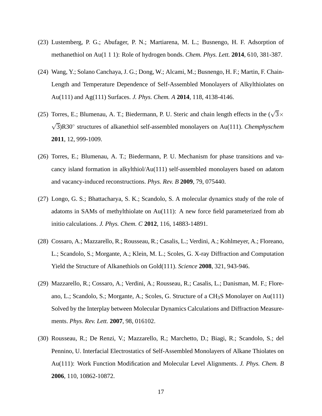- (23) Lustemberg, P. G.; Abufager, P. N.; Martiarena, M. L.; Busnengo, H. F. Adsorption of methanethiol on Au(1 1 1): Role of hydrogen bonds. *Chem. Phys. Lett.* **2014**, 610, 381-387.
- (24) Wang, Y.; Solano Canchaya, J. G.; Dong, W.; Alcami, M.; Busnengo, H. F.; Martin, F. Chain-Length and Temperature Dependence of Self-Assembled Monolayers of Alkylthiolates on Au(111) and Ag(111) Surfaces. *J. Phys. Chem. A* **2014**, 118, 4138-4146.
- (25) Torres, E.; Blumenau, A. T.; Biedermann, P. U. Steric and chain length effects in the  $(\sqrt{3} \times$ √ 3)R30◦ structures of alkanethiol self-assembled monolayers on Au(111). *Chemphyschem* **2011**, 12, 999-1009.
- (26) Torres, E.; Blumenau, A. T.; Biedermann, P. U. Mechanism for phase transitions and vacancy island formation in alkylthiol/Au(111) self-assembled monolayers based on adatom and vacancy-induced reconstructions. *Phys. Rev. B* **2009**, 79, 075440.
- (27) Longo, G. S.; Bhattacharya, S. K.; Scandolo, S. A molecular dynamics study of the role of adatoms in SAMs of methylthiolate on Au(111): A new force field parameterized from ab initio calculations. *J. Phys. Chem. C* **2012**, 116, 14883-14891.
- (28) Cossaro, A.; Mazzarello, R.; Rousseau, R.; Casalis, L.; Verdini, A.; Kohlmeyer, A.; Floreano, L.; Scandolo, S.; Morgante, A.; Klein, M. L.; Scoles, G. X-ray Diffraction and Computation Yield the Structure of Alkanethiols on Gold(111). *Science* **2008**, 321, 943-946.
- (29) Mazzarello, R.; Cossaro, A.; Verdini, A.; Rousseau, R.; Casalis, L.; Danisman, M. F.; Floreano, L.; Scandolo, S.; Morgante, A.; Scoles, G. Structure of a  $CH_3S$  Monolayer on Au(111) Solved by the Interplay between Molecular Dynamics Calculations and Diffraction Measurements. *Phys. Rev. Lett.* **2007**, 98, 016102.
- <span id="page-16-0"></span>(30) Rousseau, R.; De Renzi, V.; Mazzarello, R.; Marchetto, D.; Biagi, R.; Scandolo, S.; del Pennino, U. Interfacial Electrostatics of Self-Assembled Monolayers of Alkane Thiolates on Au(111): Work Function Modification and Molecular Level Alignments. *J. Phys. Chem. B* **2006**, 110, 10862-10872.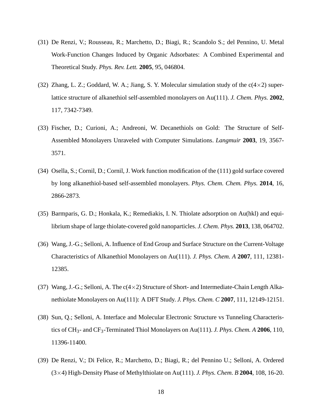- <span id="page-17-1"></span>(31) De Renzi, V.; Rousseau, R.; Marchetto, D.; Biagi, R.; Scandolo S.; del Pennino, U. Metal Work-Function Changes Induced by Organic Adsorbates: A Combined Experimental and Theoretical Study. *Phys. Rev. Lett.* **2005**, 95, 046804.
- (32) Zhang, L. Z.; Goddard, W. A.; Jiang, S. Y. Molecular simulation study of the  $c(4\times2)$  superlattice structure of alkanethiol self-assembled monolayers on Au(111). *J. Chem. Phys.* **2002**, 117, 7342-7349.
- (33) Fischer, D.; Curioni, A.; Andreoni, W. Decanethiols on Gold: The Structure of Self-Assembled Monolayers Unraveled with Computer Simulations. *Langmuir* **2003**, 19, 3567- 3571.
- <span id="page-17-2"></span>(34) Osella, S.; Cornil, D.; Cornil, J. Work function modification of the (111) gold surface covered by long alkanethiol-based self-assembled monolayers. *Phys. Chem. Chem. Phys.* **2014**, 16, 2866-2873.
- (35) Barmparis, G. D.; Honkala, K.; Remediakis, I. N. Thiolate adsorption on Au(hkl) and equilibrium shape of large thiolate-covered gold nanoparticles. *J. Chem. Phys.* **2013**, 138, 064702.
- (36) Wang, J.-G.; Selloni, A. Influence of End Group and Surface Structure on the Current-Voltage Characteristics of Alkanethiol Monolayers on Au(111). *J. Phys. Chem. A* **2007**, 111, 12381- 12385.
- (37) Wang, J.-G.; Selloni, A. The  $c(4\times2)$  Structure of Short- and Intermediate-Chain Length Alkanethiolate Monolayers on Au(111): A DFT Study. *J. Phys. Chem. C* **2007**, 111, 12149-12151.
- (38) Sun, Q.; Selloni, A. Interface and Molecular Electronic Structure vs Tunneling Characteristics of CH3- and CF3-Terminated Thiol Monolayers on Au(111). *J. Phys. Chem. A* **2006**, 110, 11396-11400.
- <span id="page-17-0"></span>(39) De Renzi, V.; Di Felice, R.; Marchetto, D.; Biagi, R.; del Pennino U.; Selloni, A. Ordered (3×4) High-Density Phase of Methylthiolate on Au(111). *J. Phys. Chem. B* **2004**, 108, 16-20.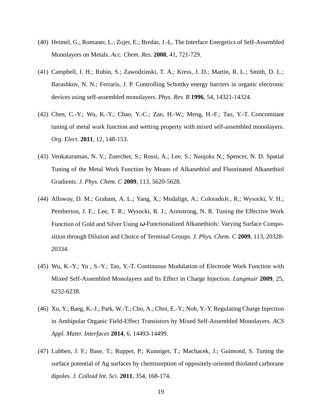- <span id="page-18-0"></span>(40) Heimel, G.; Romaner, L.; Zojer, E.; Bredas, J.-L. The Interface Energetics of Self-Assembled Monolayers on Metals. *Acc. Chem. Res.* **2008**, 41, 721-729.
- <span id="page-18-1"></span>(41) Campbell, I. H.; Rubin, S.; Zawodzinski, T. A.; Kress, J. D.; Martin, R. L.; Smith, D. L.; Barashkov, N. N.; Ferraris, J. P. Controlling Schottky energy barriers in organic electronic devices using self-assembled monolayers. *Phys. Rev. B* **1996**, 54, 14321-14324.
- (42) Chen, C.-Y.; Wu, K.-Y.; Chao, Y.-C.; Zan, H.-W.; Meng, H.-F.; Tao, Y.-T. Concomitant tuning of metal work function and wetting property with mixed self-assembled monolayers. *Org. Elect.* **2011**, 12, 148-153.
- (43) Venkataraman, N. V.; Zuercher, S.; Rossi, A.; Lee, S.; Naujoks N.; Spencer, N. D. Spatial Tuning of the Metal Work Function by Means of Alkanethiol and Fluorinated Alkanethiol Gradients. *J. Phys. Chem. C* **2009**, 113, 5620-5628.
- (44) Alloway, D. M.; Graham, A. L.; Yang, X.; Mudalige, A.; ColoradoJr., R.; Wysocki, V. H.; Pemberton, J. E.; Lee, T. R.; Wysocki, R. J.; Armstrong, N. R. Tuning the Effective Work Function of Gold and Silver Using <sup>ω</sup>-Functionalized Alkanethiols: Varying Surface Composition through Dilution and Choice of Terminal Groups. *J. Phys. Chem. C* **2009**, 113, 20328- 20334.
- (45) Wu, K.-Y.; Yu , S.-Y.; Tao, Y.-T. Continuous Modulation of Electrode Work Function with Mixed Self-Assembled Monolayers and Its Effect in Charge Injection. *Langmuir* **2009**, 25, 6232-6238.
- <span id="page-18-2"></span>(46) Xu, Y.; Baeg, K.-J.; Park, W.-T.; Cho, A.; Choi, E.-Y.; Noh, Y.-Y. Regulating Charge Injection in Ambipolar Organic Field-Effect Transistors by Mixed Self-Assembled Monolayers. *ACS Appl. Mater. Interfaces* **2014**, 6, 14493-14499.
- <span id="page-18-3"></span>(47) Lubben, J. F.; Base, T.; Rupper, P.; Kunniger, T.; Machacek, J.; Guimond, S. Tuning the surface potential of Ag surfaces by chemisorption of oppositely-oriented thiolated carborane dipoles. *J. Colloid Int. Sci.* **2011**, 354, 168-174.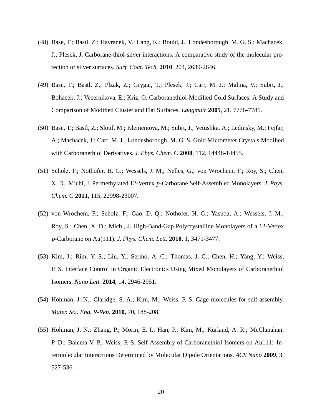- (48) Base, T.; Bastl, Z.; Havranek, V.; Lang, K.; Bould, J.; Londesborough, M. G. S.; Machacek, J.; Plesek, J. Carborane-thiol-silver interactions. A comparative study of the molecular protection of silver surfaces. *Surf. Coat. Tech.* **2010**, 204, 2639-2646.
- (49) Base, T.; Bastl, Z.; Plzak, Z.; Grygar, T.; Plesek, J.; Carr, M. J.; Malina, V.; Subrt, J.; Bohacek, J.; Vecernikova, E.; Kriz, O. Carboranethiol-Modified Gold Surfaces. A Study and Comparison of Modified Cluster and Flat Surfaces. *Langmuir* **2005**, 21, 7776-7785.
- (50) Base, T.; Bastl, Z.; Slouf, M.; Klementova, M.; Subrt, J.; Vetushka, A.; Ledinsky, M.; Fejfar, A.; Machacek, J.; Carr, M. J.; Londesborough, M. G. S. Gold Micrometer Crystals Modified with Carboranethiol Derivatives. *J. Phys. Chem. C* **2008**, 112, 14446-14455.
- (51) Scholz, F.; Nothofer, H. G.; Wessels, J. M.; Nelles, G.; von Wrochem, F.; Roy, S.; Chen, X. D.; Michl, J. Permethylated 12-Vertex *p*-Carborane Self-Assembled Monolayers. *J. Phys. Chem. C* **2011**, 115, 22998-23007.
- (52) von Wrochem, F.; Scholz, F.; Gao, D. Q.; Nothofer, H. G.; Yasuda, A.; Wessels, J. M.; Roy, S.; Chen, X. D.; Michl, J. High-Band-Gap Polycrystalline Monolayers of a 12-Vertex *p*-Carborane on Au(111). *J. Phys. Chem. Lett.* **2010**, 1, 3471-3477.
- <span id="page-19-0"></span>(53) Kim, J.; Rim, Y. S.; Liu, Y.; Serino, A. C.; Thomas, J. C.; Chen, H.; Yang, Y.; Weiss, P. S. Interface Control in Organic Electronics Using Mixed Monolayers of Carboranethiol Isomers. *Nano Lett.* **2014**, 14, 2946-2951.
- (54) Hohman, J. N.; Claridge, S. A.; Kim, M.; Weiss, P. S. Cage molecules for self-assembly. *Mater. Sci. Eng. R-Rep.* **2010**, 70, 188-208.
- <span id="page-19-1"></span>(55) Hohman, J. N.; Zhang, P.; Morin, E. I.; Han, P.; Kim, M.; Kurland, A. R.; McClanahan, P. D.; Balema V. P.; Weiss, P. S. Self-Assembly of Carboranethiol Isomers on Au111: Intermolecular Interactions Determined by Molecular Dipole Orientations. *ACS Nano* **2009**, 3, 527-536.